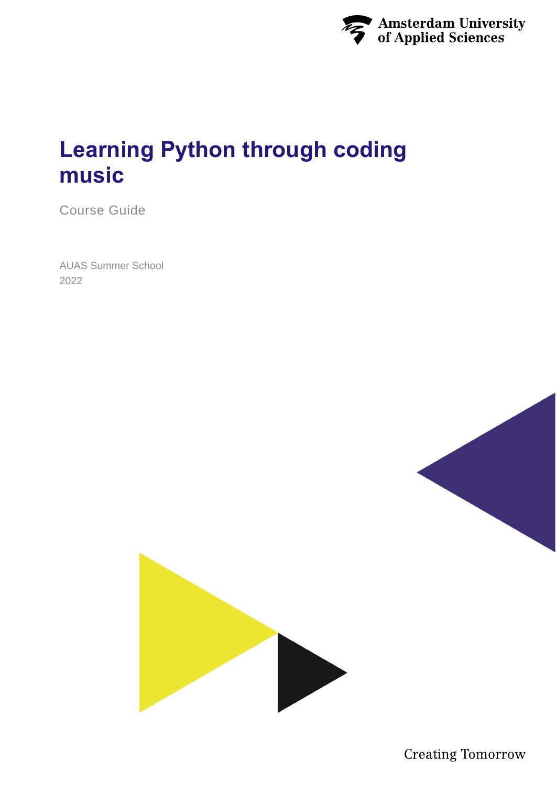

# **Learning Python through coding music**

Course Guide

AUAS Summer School 2022



**Creating Tomorrow**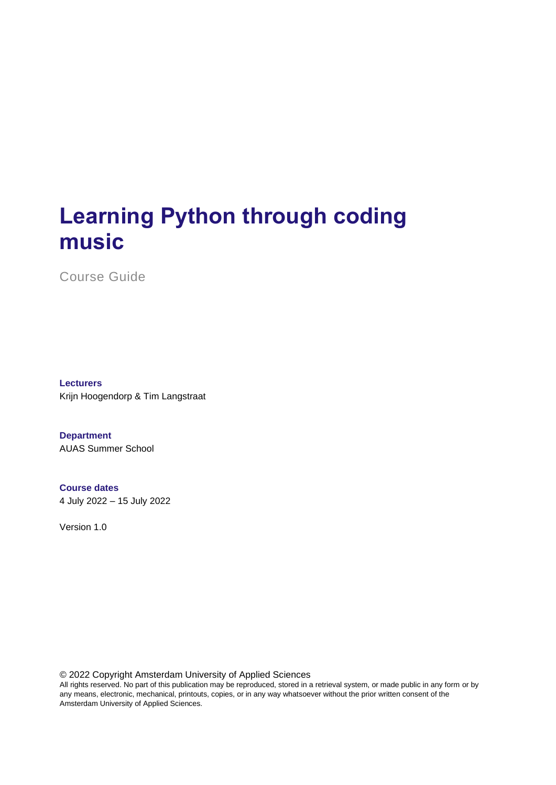# **Learning Python through coding music**

Course Guide

**Lecturers** Krijn Hoogendorp & Tim Langstraat

**Department** AUAS Summer School

#### **Course dates**

4 July 2022 – 15 July 2022

Version 1.0

© 2022 Copyright Amsterdam University of Applied Sciences

All rights reserved. No part of this publication may be reproduced, stored in a retrieval system, or made public in any form or by any means, electronic, mechanical, printouts, copies, or in any way whatsoever without the prior written consent of the Amsterdam University of Applied Sciences.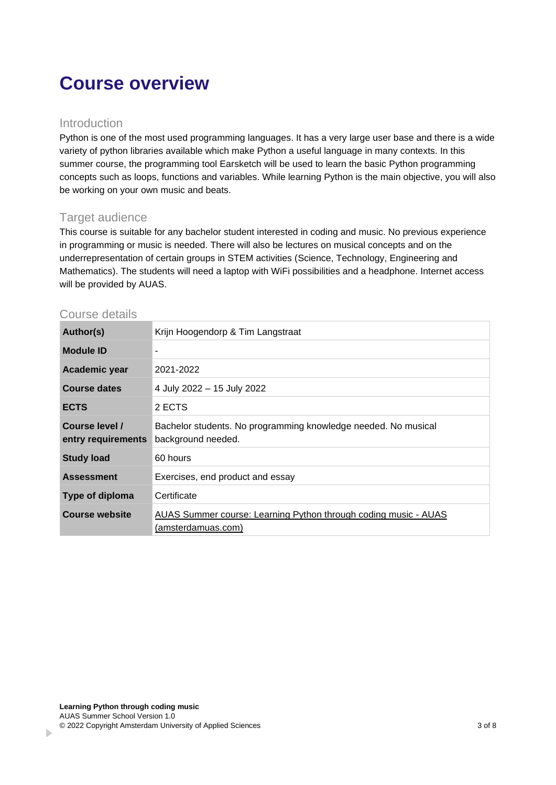## **Course overview**

#### Introduction

Python is one of the most used programming languages. It has a very large user base and there is a wide variety of python libraries available which make Python a useful language in many contexts. In this summer course, the programming tool Earsketch will be used to learn the basic Python programming concepts such as loops, functions and variables. While learning Python is the main objective, you will also be working on your own music and beats.

#### Target audience

This course is suitable for any bachelor student interested in coding and music. No previous experience in programming or music is needed. There will also be lectures on musical concepts and on the underrepresentation of certain groups in STEM activities (Science, Technology, Engineering and Mathematics). The students will need a laptop with WiFi possibilities and a headphone. Internet access will be provided by AUAS.

#### Course details

| Author(s)                            | Krijn Hoogendorp & Tim Langstraat                                                     |  |
|--------------------------------------|---------------------------------------------------------------------------------------|--|
| <b>Module ID</b>                     |                                                                                       |  |
| Academic year                        | 2021-2022                                                                             |  |
| <b>Course dates</b>                  | 4 July 2022 - 15 July 2022                                                            |  |
| <b>ECTS</b>                          | 2 ECTS                                                                                |  |
| Course level /<br>entry requirements | Bachelor students. No programming knowledge needed. No musical<br>background needed.  |  |
| <b>Study load</b>                    | 60 hours                                                                              |  |
| <b>Assessment</b>                    | Exercises, end product and essay                                                      |  |
| Type of diploma                      | Certificate                                                                           |  |
| Course website                       | AUAS Summer course: Learning Python through coding music - AUAS<br>(amsterdamuas.com) |  |

 $\mathbf{r}$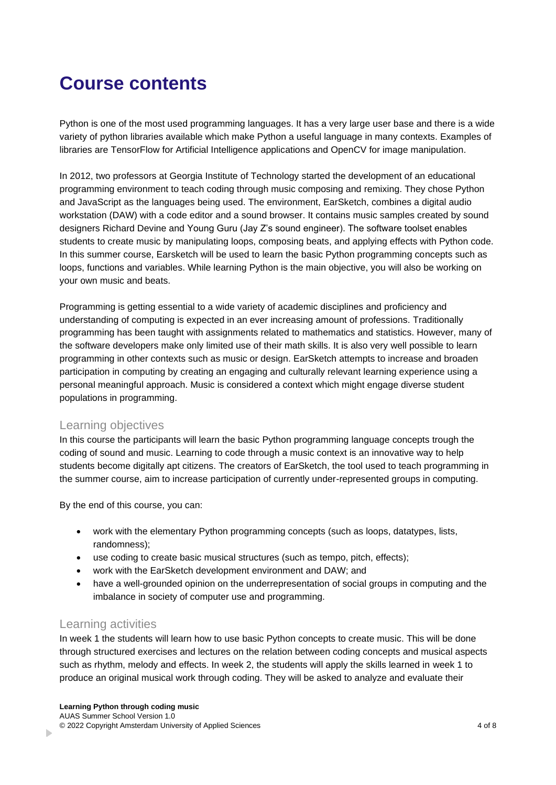### **Course contents**

Python is one of the most used programming languages. It has a very large user base and there is a wide variety of python libraries available which make Python a useful language in many contexts. Examples of libraries are TensorFlow for Artificial Intelligence applications and OpenCV for image manipulation.

In 2012, two professors at Georgia Institute of Technology started the development of an educational programming environment to teach coding through music composing and remixing. They chose Python and JavaScript as the languages being used. The environment, EarSketch, combines a digital audio workstation (DAW) with a code editor and a sound browser. It contains music samples created by sound designers Richard Devine and Young Guru (Jay Z's sound engineer). The software toolset enables students to create music by manipulating loops, composing beats, and applying effects with Python code. In this summer course, Earsketch will be used to learn the basic Python programming concepts such as loops, functions and variables. While learning Python is the main objective, you will also be working on your own music and beats.

Programming is getting essential to a wide variety of academic disciplines and proficiency and understanding of computing is expected in an ever increasing amount of professions. Traditionally programming has been taught with assignments related to mathematics and statistics. However, many of the software developers make only limited use of their math skills. It is also very well possible to learn programming in other contexts such as music or design. EarSketch attempts to increase and broaden participation in computing by creating an engaging and culturally relevant learning experience using a personal meaningful approach. Music is considered a context which might engage diverse student populations in programming.

#### Learning objectives

In this course the participants will learn the basic Python programming language concepts trough the coding of sound and music. Learning to code through a music context is an innovative way to help students become digitally apt citizens. The creators of EarSketch, the tool used to teach programming in the summer course, aim to increase participation of currently under-represented groups in computing.

By the end of this course, you can:

- work with the elementary Python programming concepts (such as loops, datatypes, lists, randomness);
- use coding to create basic musical structures (such as tempo, pitch, effects);
- work with the EarSketch development environment and DAW; and
- have a well-grounded opinion on the underrepresentation of social groups in computing and the imbalance in society of computer use and programming.

#### Learning activities

b.

In week 1 the students will learn how to use basic Python concepts to create music. This will be done through structured exercises and lectures on the relation between coding concepts and musical aspects such as rhythm, melody and effects. In week 2, the students will apply the skills learned in week 1 to produce an original musical work through coding. They will be asked to analyze and evaluate their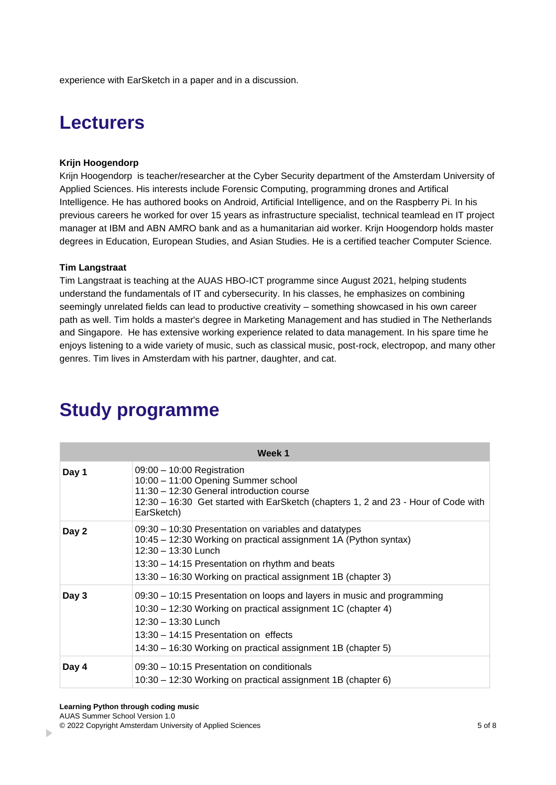experience with EarSketch in a paper and in a discussion.

### **Lecturers**

#### **Krijn Hoogendorp**

Krijn Hoogendorp is teacher/researcher at the Cyber Security department of the Amsterdam University of Applied Sciences. His interests include Forensic Computing, programming drones and Artifical Intelligence. He has authored books on Android, Artificial Intelligence, and on the Raspberry Pi. In his previous careers he worked for over 15 years as infrastructure specialist, technical teamlead en IT project manager at IBM and ABN AMRO bank and as a humanitarian aid worker. Krijn Hoogendorp holds master degrees in Education, European Studies, and Asian Studies. He is a certified teacher Computer Science.

#### **Tim Langstraat**

Tim Langstraat is teaching at the AUAS HBO-ICT programme since August 2021, helping students understand the fundamentals of IT and cybersecurity. In his classes, he emphasizes on combining seemingly unrelated fields can lead to productive creativity – something showcased in his own career path as well. Tim holds a master's degree in Marketing Management and has studied in The Netherlands and Singapore. He has extensive working experience related to data management. In his spare time he enjoys listening to a wide variety of music, such as classical music, post-rock, electropop, and many other genres. Tim lives in Amsterdam with his partner, daughter, and cat.

| Week 1 |                                                                                                                                                                                                                                                                         |  |
|--------|-------------------------------------------------------------------------------------------------------------------------------------------------------------------------------------------------------------------------------------------------------------------------|--|
| Day 1  | 09:00 - 10:00 Registration<br>10:00 - 11:00 Opening Summer school<br>11:30 - 12:30 General introduction course<br>12:30 – 16:30 Get started with EarSketch (chapters 1, 2 and 23 - Hour of Code with<br>EarSketch)                                                      |  |
| Day 2  | 09:30 – 10:30 Presentation on variables and datatypes<br>10:45 – 12:30 Working on practical assignment 1A (Python syntax)<br>$12:30 - 13:30$ Lunch<br>13:30 - 14:15 Presentation on rhythm and beats<br>13:30 – 16:30 Working on practical assignment 1B (chapter 3)    |  |
| Day 3  | 09:30 - 10:15 Presentation on loops and layers in music and programming<br>10:30 – 12:30 Working on practical assignment 1C (chapter 4)<br>12:30 - 13:30 Lunch<br>13:30 - 14:15 Presentation on effects<br>14:30 – 16:30 Working on practical assignment 1B (chapter 5) |  |
| Day 4  | 09:30 - 10:15 Presentation on conditionals<br>10:30 – 12:30 Working on practical assignment 1B (chapter 6)                                                                                                                                                              |  |

### **Study programme**

b.

<sup>© 2022</sup> Copyright Amsterdam University of Applied Sciences 5 of 8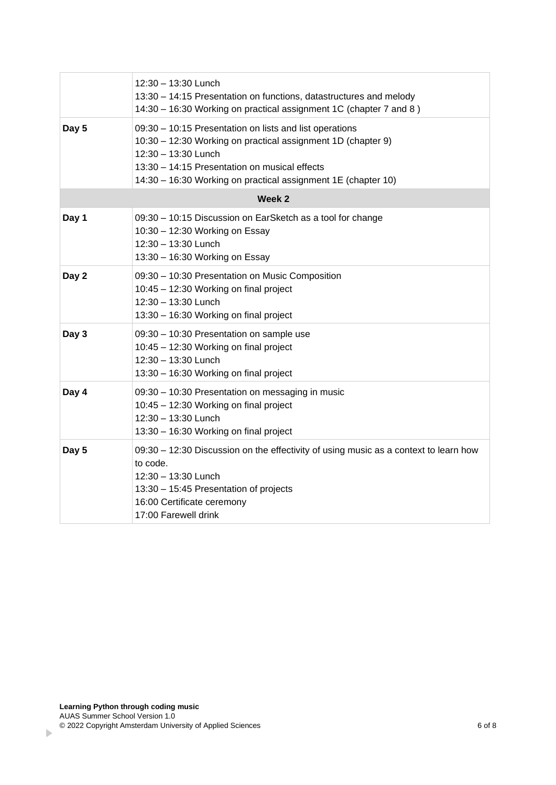|        | 12:30 - 13:30 Lunch<br>13:30 - 14:15 Presentation on functions, datastructures and melody<br>14:30 - 16:30 Working on practical assignment 1C (chapter 7 and 8)                                                                                                  |  |  |
|--------|------------------------------------------------------------------------------------------------------------------------------------------------------------------------------------------------------------------------------------------------------------------|--|--|
| Day 5  | 09:30 - 10:15 Presentation on lists and list operations<br>10:30 - 12:30 Working on practical assignment 1D (chapter 9)<br>12:30 - 13:30 Lunch<br>13:30 - 14:15 Presentation on musical effects<br>14:30 - 16:30 Working on practical assignment 1E (chapter 10) |  |  |
| Week 2 |                                                                                                                                                                                                                                                                  |  |  |
| Day 1  | 09:30 - 10:15 Discussion on EarSketch as a tool for change<br>10:30 - 12:30 Working on Essay<br>12:30 - 13:30 Lunch<br>13:30 - 16:30 Working on Essay                                                                                                            |  |  |
| Day 2  | 09:30 - 10:30 Presentation on Music Composition<br>10:45 - 12:30 Working on final project<br>12:30 - 13:30 Lunch<br>13:30 - 16:30 Working on final project                                                                                                       |  |  |
| Day 3  | 09:30 - 10:30 Presentation on sample use<br>10:45 - 12:30 Working on final project<br>12:30 - 13:30 Lunch<br>13:30 - 16:30 Working on final project                                                                                                              |  |  |
| Day 4  | 09:30 - 10:30 Presentation on messaging in music<br>10:45 - 12:30 Working on final project<br>12:30 - 13:30 Lunch<br>13:30 - 16:30 Working on final project                                                                                                      |  |  |
| Day 5  | 09:30 - 12:30 Discussion on the effectivity of using music as a context to learn how<br>to code.<br>12:30 - 13:30 Lunch<br>13:30 - 15:45 Presentation of projects<br>16:00 Certificate ceremony<br>17:00 Farewell drink                                          |  |  |

 $\mathbf{p}$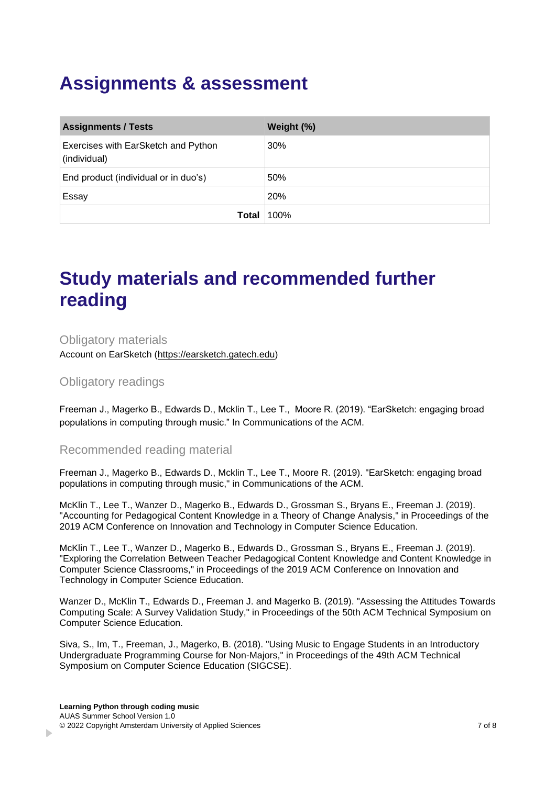### **Assignments & assessment**

| <b>Assignments / Tests</b>                          | Weight (%) |
|-----------------------------------------------------|------------|
| Exercises with EarSketch and Python<br>(individual) | 30%        |
| End product (individual or in duo's)                | 50%        |
| Essay                                               | 20%        |
| Total                                               | 100%       |

### **Study materials and recommended further reading**

Obligatory materials Account on EarSketch [\(https://earsketch.gatech.edu\)](https://earsketch.gatech.edu/)

Obligatory readings

Freeman J., Magerko B., Edwards D., Mcklin T., Lee T., Moore R. (2019). "EarSketch: engaging broad populations in computing through music." In Communications of the ACM.

Recommended reading material

Freeman J., Magerko B., Edwards D., Mcklin T., Lee T., Moore R. (2019). "EarSketch: engaging broad populations in computing through music," in Communications of the ACM.

McKlin T., Lee T., Wanzer D., Magerko B., Edwards D., Grossman S., Bryans E., Freeman J. (2019). "Accounting for Pedagogical Content Knowledge in a Theory of Change Analysis," in Proceedings of the 2019 ACM Conference on Innovation and Technology in Computer Science Education.

McKlin T., Lee T., Wanzer D., Magerko B., Edwards D., Grossman S., Bryans E., Freeman J. (2019). "Exploring the Correlation Between Teacher Pedagogical Content Knowledge and Content Knowledge in Computer Science Classrooms," in Proceedings of the 2019 ACM Conference on Innovation and Technology in Computer Science Education.

Wanzer D., McKlin T., Edwards D., Freeman J. and Magerko B. (2019). "Assessing the Attitudes Towards Computing Scale: A Survey Validation Study," in Proceedings of the 50th ACM Technical Symposium on Computer Science Education.

Siva, S., Im, T., Freeman, J., Magerko, B. (2018). "Using Music to Engage Students in an Introductory Undergraduate Programming Course for Non-Majors," in Proceedings of the 49th ACM Technical Symposium on Computer Science Education (SIGCSE).

b